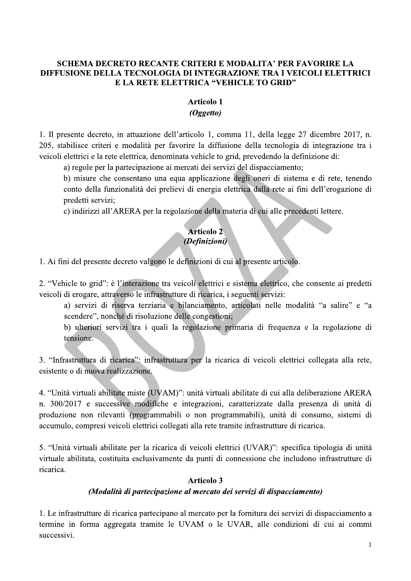# SCHEMA DECRETO RECANTE CRITERI E MODALITA<sup>,</sup> PER FAVORIRE LA DIFFUSIONE DELLA TECNOLOGIA DI INTEGRAZIONE TRA I VEICOLI ELETTRICI E LA RETE ELETTRICA "VEHICLE TO GRID"

### **Articolo 1**

RECANTE CRITERI E MODALITA' PER FANOLOGIA DI INTEGRAZIONE TRA I VEICANDINE<br>
RETE ELETTRICA "VEHICLE TO GRID"<br>
Articolo 1<br>
(Oggetto)<br>
azione dell'articolo 1, comma 11, della legge 2?<br>
alità per favorire la diffusione della 1. Il presente decreto, in attuazione dell'articolo 1, comma 11, della legge 27 dicembre 2017, n. 205, stabilisce criteri e modalità per favorire la diffusione della tecnologia di integrazione tra i veicoli elettrici e la rete elettrica, denominata vehicle to grid, prevedendo la definizione di:

a) regole per la partecipazione ai mercati dei servizi del dispacciamento;

b) misure che consentano una equa applicazione degli oneri di sistema e di rete, tenendo conto della funzionalità dei prelievi di energia elettrica dalla rete ai fini dell'erogazione di predetti servizi: izione ai mercati dei servizi del dispacciamento;<br>no una equa applicazione degli oneri di sistema<br>dei prelievi di energia elettrica dalla rete ai fini<br>per la regolazione della materia di cui alle precede<br>**Articolo 2**<br>(*Def* 

c) indirizzi all'ARERA per la regolazione della materia di cui alle precedenti lettere.

1. Ai fini del presente decreto valgono le definizioni di cui al presente articolo.

2. "Vehicle to grid": è l'interazione tra veicoli elettrici e sistema elettrico, che consente ai predetti veicoli di erogare, attraverso le infrastrutture di ricarica, i seguenti servizi:

a) servizi di riserva terziaria e bilanciamento, articolati nelle modalità "a salire" e "a scendere", nonché di risoluzione delle congestioni;

b) ulteriori servizi tra i quali la regolazione primaria di frequenza e la regolazione di tensione.

3. "Infrastruttura di ricarica": infrastruttura per la ricarica di veicoli elettrici collegata alla rete, esistente o di nuova realizzazione.

4. "Unità virtuali abilitate miste (UVAM)": unità virtuali abilitate di cui alla deliberazione ARERA n. 300/2017 e successive modifiche e integrazioni, caratterizzate dalla presenza di unità di produzione non rilevanti (programmabili o non programmabili), unità di consumo, sistemi di accumulo, compresi veicoli elettrici collegati alla rete tramite infrastrutture di ricarica.

5. "Unità virtuali abilitate per la ricarica di veicoli elettrici (UVAR)": specifica tipologia di unità virtuale abilitata, costituita esclusivamente da punti di connessione che includono infrastrutture di ricarica. produzione non rilevanti (programmabili o non programmabili), unità di consumo, sistemi di<br>accumulo, compresi veicoli elettrici collegati alla rete tramite infrastrutture di ricarica.<br>5. "Unità virtuali abilitata per la ri

1. Le infrastrutture di ricarica partecipano al mercato per la fornitura dei servizi di dispacciamento a termine in forma aggregata tramite le UVAM o le UVAR, alle condizioni di cui ai commi successivi.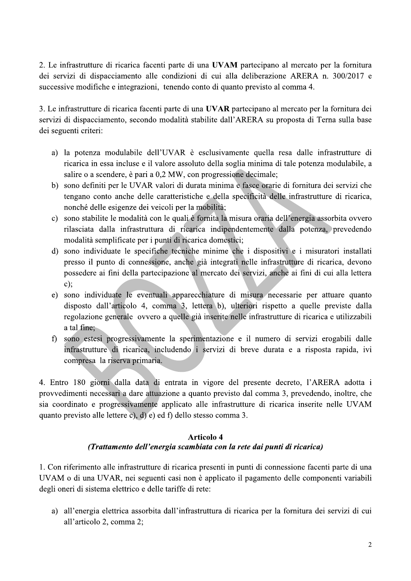2. Le infrastrutture di ricarica facenti parte di una UVAM partecipano al mercato per la fornitura dei servizi di dispacciamento alle condizioni di cui alla deliberazione ARERA n. 300/2017 e successive modifiche e integrazioni, tenendo conto di quanto previsto al comma 4.

3. Le infrastrutture di ricarica facenti parte di una UVAR partecipano al mercato per la fornitura dei servizi di dispacciamento, secondo modalità stabilite dall'ARERA su proposta di Terna sulla base dei seguenti criteri:

- a) la potenza modulabile dell'UVAR è esclusivamente quella resa dalle infrastrutture di ricarica in essa incluse e il valore assoluto della soglia minima di tale potenza modulabile, a salire o a scendere, è pari a 0,2 MW, con progressione decimale;
- b) sono definiti per le UVAR valori di durata minima e fasce orarie di fornitura dei servizi che tengano conto anche delle caratteristiche e della specificità delle infrastrutture di ricarica, nonché delle esigenze dei veicoli per la mobilità;
- c) sono stabilite le modalità con le quali è fornita la misura oraria dell'energia assorbita ovvero rilasciata dalla infrastruttura di ricarica indipendentemente dalla potenza, prevedendo modalità semplificate per i punti di ricarica domestici;
- d) sono individuate le specifiche tecniche minime che i dispositivi e i misuratori installati presso il punto di connessione, anche già integrati nelle infrastrutture di ricarica, devono possedere ai fini della partecipazione al mercato dei servizi, anche ai fini di cui alla lettera  $c$ :
- e) sono individuate le eventuali apparecchiature di misura necessarie per attuare quanto disposto dall'articolo 4, comma 3, lettera b), ulteriori rispetto a quelle previste dalla regolazione generale ovvero a quelle già inserite nelle infrastrutture di ricarica e utilizzabili a tal fine;
- f) sono estesi progressivamente la sperimentazione e il numero di servizi erogabili dalle infrastrutture di ricarica, includendo i servizi di breve durata e a risposta rapida, ivi compresa la riserva primaria.

4. Entro 180 giorni dalla data di entrata in vigore del presente decreto, l'ARERA adotta i provvedimenti necessari a dare attuazione a quanto previsto dal comma 3, prevedendo, inoltre, che sia coordinato e progressivamente applicato alle infrastrutture di ricarica inserite nelle UVAM quanto previsto alle lettere c), d) e) ed f) dello stesso comma 3.

### **Articolo 4** (Trattamento dell'energia scambiata con la rete dai punti di ricarica)

1. Con riferimento alle infrastrutture di ricarica presenti in punti di connessione facenti parte di una UVAM o di una UVAR, nei seguenti casi non è applicato il pagamento delle componenti variabili degli oneri di sistema elettrico e delle tariffe di rete:

a) all'energia elettrica assorbita dall'infrastruttura di ricarica per la fornitura dei servizi di cui all'articolo 2, comma 2;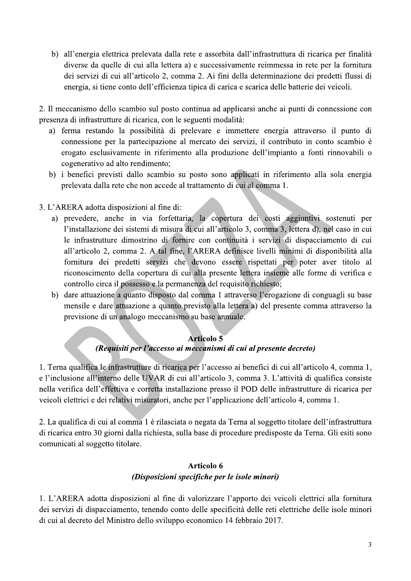b) all'energia elettrica prelevata dalla rete e assorbita dall'infrastruttura di ricarica per finalità diverse da quelle di cui alla lettera a) e successivamente reimmessa in rete per la fornitura dei servizi di cui all'articolo 2, comma 2. Ai fini della determinazione dei predetti flussi di energia, si tiene conto dell'efficienza tipica di carica e scarica delle batterie dei veicoli.

2. Il meccanismo dello scambio sul posto continua ad applicarsi anche ai punti di connessione con presenza di infrastrutture di ricarica, con le seguenti modalità:

- a) ferma restando la possibilità di prelevare e immettere energia attraverso il punto di connessione per la partecipazione al mercato dei servizi, il contributo in conto scambio è erogato esclusivamente in riferimento alla produzione dell'impianto a fonti rinnovabili o cogenerativo ad alto rendimento;
- b) i benefici previsti dallo scambio su posto sono applicati in riferimento alla sola energia prelevata dalla rete che non accede al trattamento di cui al comma 1.
- 3. L'ARERA adotta disposizioni al fine di:
	- a) prevedere, anche in via forfettaria, la copertura dei costi aggiuntivi sostenuti per l'installazione dei sistemi di misura di cui all'articolo 3, comma 3, lettera d), nel caso in cui le infrastrutture dimostrino di fornire con continuità i servizi di dispacciamento di cui all'articolo 2, comma 2. A tal fine, l'ARERA definisce livelli minimi di disponibilità alla fornitura dei predetti servizi che devono essere rispettati per poter aver titolo al riconoscimento della copertura di cui alla presente lettera insieme alle forme di verifica e controllo circa il possesso e la permanenza del requisito richiesto;
	- b) dare attuazione a quanto disposto dal comma 1 attraverso l'erogazione di conguagli su base mensile e dare attuazione a quanto previsto alla lettera a) del presente comma attraverso la previsione di un analogo meccanismo su base annuale.

### **Articolo 5** (Requisiti per l'accesso ai meccanismi di cui al presente decreto)

1. Terna qualifica le infrastrutture di ricarica per l'accesso ai benefici di cui all'articolo 4, comma 1, e l'inclusione all'interno delle UVAR di cui all'articolo 3, comma 3. L'attività di qualifica consiste nella verifica dell'effettiva e corretta installazione presso il POD delle infrastrutture di ricarica per veicoli elettrici e dei relativi misuratori, anche per l'applicazione dell'articolo 4, comma 1.

2. La qualifica di cui al comma 1 è rilasciata o negata da Terna al soggetto titolare dell'infrastruttura di ricarica entro 30 giorni dalla richiesta, sulla base di procedure predisposte da Terna. Gli esiti sono comunicati al soggetto titolare.

# Articolo 6 (Disposizioni specifiche per le isole minori)

1. L'ARERA adotta disposizioni al fine di valorizzare l'apporto dei veicoli elettrici alla fornitura dei servizi di dispacciamento, tenendo conto delle specificità delle reti elettriche delle isole minori di cui al decreto del Ministro dello sviluppo economico 14 febbraio 2017.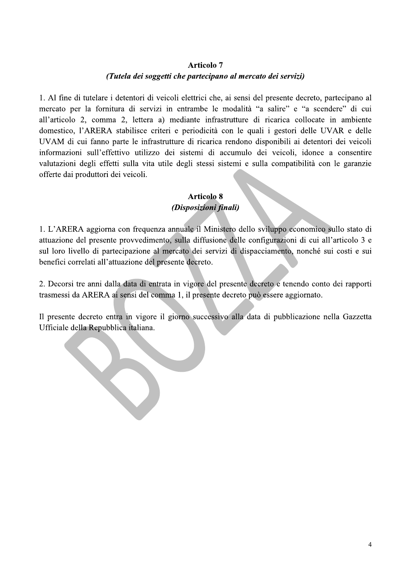# **Articolo 7** (Tutela dei soggetti che partecipano al mercato dei servizi)

1. Al fine di tutelare i detentori di veicoli elettrici che, ai sensi del presente decreto, partecipano al mercato per la fornitura di servizi in entrambe le modalità "a salire" e "a scendere" di cui all'articolo 2, comma 2, lettera a) mediante infrastrutture di ricarica collocate in ambiente domestico, l'ARERA stabilisce criteri e periodicità con le quali i gestori delle UVAR e delle UVAM di cui fanno parte le infrastrutture di ricarica rendono disponibili ai detentori dei veicoli informazioni sull'effettivo utilizzo dei sistemi di accumulo dei veicoli, idonee a consentire valutazioni degli effetti sulla vita utile degli stessi sistemi e sulla compatibilità con le garanzie offerte dai produttori dei veicoli.

### **Articolo 8** (Disposizioni finali)

1. L'ARERA aggiorna con frequenza annuale il Ministero dello sviluppo economico sullo stato di attuazione del presente provvedimento, sulla diffusione delle configurazioni di cui all'articolo 3 e sul loro livello di partecipazione al mercato dei servizi di dispacciamento, nonché sui costi e sui benefici correlati all'attuazione del presente decreto.

2. Decorsi tre anni dalla data di entrata in vigore del presente decreto e tenendo conto dei rapporti trasmessi da ARERA ai sensi del comma 1, il presente decreto può essere aggiornato.

Il presente decreto entra in vigore il giorno successivo alla data di pubblicazione nella Gazzetta Ufficiale della Repubblica italiana.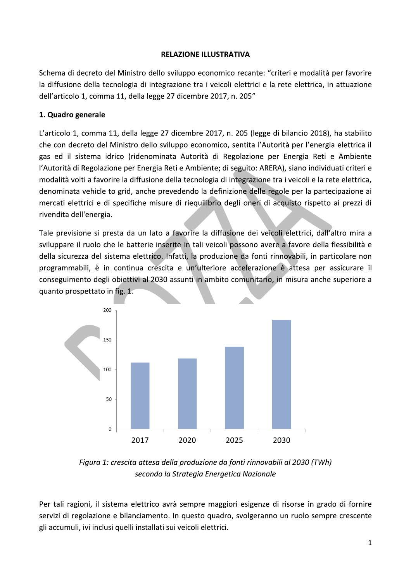#### **RELAZIONE ILLUSTRATIVA**

Schema di decreto del Ministro dello sviluppo economico recante: "criteri e modalità per favorire la diffusione della tecnologia di integrazione tra i veicoli elettrici e la rete elettrica, in attuazione dell'articolo 1, comma 11, della legge 27 dicembre 2017, n. 205"

### 1. Quadro generale

L'articolo 1, comma 11, della legge 27 dicembre 2017, n. 205 (legge di bilancio 2018), ha stabilito che con decreto del Ministro dello sviluppo economico, sentita l'Autorità per l'energia elettrica il gas ed il sistema idrico (ridenominata Autorità di Regolazione per Energia Reti e Ambiente l'Autorità di Regolazione per Energia Reti e Ambiente; di seguito: ARERA), siano individuati criteri e modalità volti a favorire la diffusione della tecnologia di integrazione tra i veicoli e la rete elettrica, denominata vehicle to grid, anche prevedendo la definizione delle regole per la partecipazione ai mercati elettrici e di specifiche misure di riequilibrio degli oneri di acquisto rispetto ai prezzi di rivendita dell'energia.

Tale previsione si presta da un lato a favorire la diffusione dei veicoli elettrici, dall'altro mira a sviluppare il ruolo che le batterie inserite in tali veicoli possono avere a favore della flessibilità e della sicurezza del sistema elettrico. Infatti, la produzione da fonti rinnovabili, in particolare non programmabili, è in continua crescita e un'ulteriore accelerazione è attesa per assicurare il conseguimento degli obiettivi al 2030 assunti in ambito comunitario, in misura anche superiore a quanto prospettato in fig. 1.



Figura 1: crescita attesa della produzione da fonti rinnovabili al 2030 (TWh) secondo la Strategia Energetica Nazionale

Per tali ragioni, il sistema elettrico avrà sempre maggiori esigenze di risorse in grado di fornire servizi di regolazione e bilanciamento. In questo quadro, svolgeranno un ruolo sempre crescente gli accumuli, ivi inclusi quelli installati sui veicoli elettrici.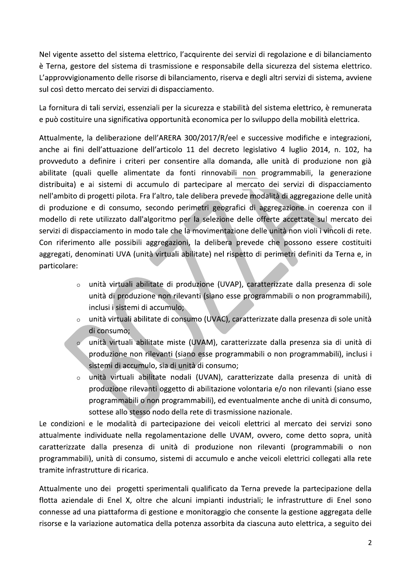Nel vigente assetto del sistema elettrico, l'acquirente dei servizi di regolazione e di bilanciamento è Terna, gestore del sistema di trasmissione e responsabile della sicurezza del sistema elettrico. L'approvvigionamento delle risorse di bilanciamento, riserva e degli altri servizi di sistema, avviene sul così detto mercato dei servizi di dispacciamento.

La fornitura di tali servizi, essenziali per la sicurezza e stabilità del sistema elettrico, è remunerata e può costituire una significativa opportunità economica per lo sviluppo della mobilità elettrica.

Attualmente, la deliberazione dell'ARERA 300/2017/R/eel e successive modifiche e integrazioni, anche ai fini dell'attuazione dell'articolo 11 del decreto legislativo 4 luglio 2014, n. 102, ha provveduto a definire i criteri per consentire alla domanda, alle unità di produzione non già abilitate (quali quelle alimentate da fonti rinnovabili non programmabili, la generazione distribuita) e ai sistemi di accumulo di partecipare al mercato dei servizi di dispacciamento nell'ambito di progetti pilota. Fra l'altro, tale delibera prevede modalità di aggregazione delle unità di produzione e di consumo, secondo perimetri geografici di aggregazione in coerenza con il modello di rete utilizzato dall'algoritmo per la selezione delle offerte accettate sul mercato dei servizi di dispacciamento in modo tale che la movimentazione delle unità non violi i vincoli di rete. Con riferimento alle possibili aggregazioni, la delibera prevede che possono essere costituiti aggregati, denominati UVA (unità virtuali abilitate) nel rispetto di perimetri definiti da Terna e, in particolare:

- unità virtuali abilitate di produzione (UVAP), caratterizzate dalla presenza di sole unità di produzione non rilevanti (siano esse programmabili o non programmabili), inclusi i sistemi di accumulo:
- unità virtuali abilitate di consumo (UVAC), caratterizzate dalla presenza di sole unità di consumo;
- unità virtuali abilitate miste (UVAM), caratterizzate dalla presenza sia di unità di  $\circ$ produzione non rilevanti (siano esse programmabili o non programmabili), inclusi i sistemi di accumulo, sia di unità di consumo;
- unità virtuali abilitate nodali (UVAN), caratterizzate dalla presenza di unità di produzione rilevanti oggetto di abilitazione volontaria e/o non rilevanti (siano esse programmabili o non programmabili), ed eventualmente anche di unità di consumo, sottese allo stesso nodo della rete di trasmissione nazionale.

Le condizioni e le modalità di partecipazione dei veicoli elettrici al mercato dei servizi sono attualmente individuate nella regolamentazione delle UVAM, ovvero, come detto sopra, unità caratterizzate dalla presenza di unità di produzione non rilevanti (programmabili o non programmabili), unità di consumo, sistemi di accumulo e anche veicoli elettrici collegati alla rete tramite infrastrutture di ricarica.

Attualmente uno dei progetti sperimentali qualificato da Terna prevede la partecipazione della flotta aziendale di Enel X, oltre che alcuni impianti industriali; le infrastrutture di Enel sono connesse ad una piattaforma di gestione e monitoraggio che consente la gestione aggregata delle risorse e la variazione automatica della potenza assorbita da ciascuna auto elettrica, a seguito dei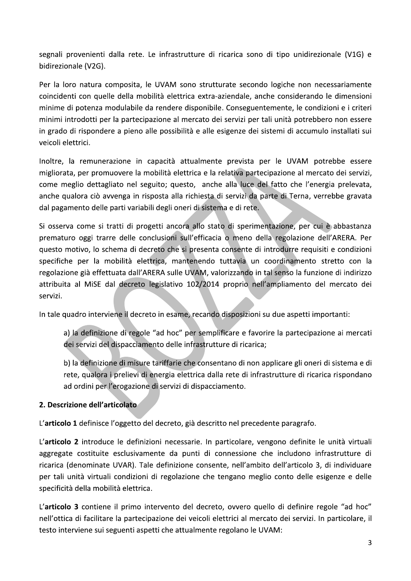segnali provenienti dalla rete. Le infrastrutture di ricarica sono di tipo unidirezionale (V1G) e bidirezionale (V2G).

Per la loro natura composita, le UVAM sono strutturate secondo logiche non necessariamente coincidenti con quelle della mobilità elettrica extra-aziendale, anche considerando le dimensioni minime di potenza modulabile da rendere disponibile. Conseguentemente, le condizioni e i criteri minimi introdotti per la partecipazione al mercato dei servizi per tali unità potrebbero non essere in grado di rispondere a pieno alle possibilità e alle esigenze dei sistemi di accumulo installati sui veicoli elettrici.

Inoltre, la remunerazione in capacità attualmente prevista per le UVAM potrebbe essere migliorata, per promuovere la mobilità elettrica e la relativa partecipazione al mercato dei servizi, come meglio dettagliato nel seguito; questo, anche alla luce del fatto che l'energia prelevata, anche qualora ciò avvenga in risposta alla richiesta di servizi da parte di Terna, verrebbe gravata dal pagamento delle parti variabili degli oneri di sistema e di rete.

Si osserva come si tratti di progetti ancora allo stato di sperimentazione, per cui è abbastanza prematuro oggi trarre delle conclusioni sull'efficacia o meno della regolazione dell'ARERA. Per questo motivo, lo schema di decreto che si presenta consente di introdurre requisiti e condizioni specifiche per la mobilità elettrica, mantenendo tuttavia un coordinamento stretto con la regolazione già effettuata dall'ARERA sulle UVAM, valorizzando in tal senso la funzione di indirizzo attribuita al MiSE dal decreto legislativo 102/2014 proprio nell'ampliamento del mercato dei servizi.

In tale quadro interviene il decreto in esame, recando disposizioni su due aspetti importanti:

a) la definizione di regole "ad hoc" per semplificare e favorire la partecipazione ai mercati dei servizi del dispacciamento delle infrastrutture di ricarica;

b) la definizione di misure tariffarie che consentano di non applicare gli oneri di sistema e di rete, qualora i prelievi di energia elettrica dalla rete di infrastrutture di ricarica rispondano ad ordini per l'erogazione di servizi di dispacciamento.

# 2. Descrizione dell'articolato

L'articolo 1 definisce l'oggetto del decreto, già descritto nel precedente paragrafo.

L'articolo 2 introduce le definizioni necessarie. In particolare, vengono definite le unità virtuali aggregate costituite esclusivamente da punti di connessione che includono infrastrutture di ricarica (denominate UVAR). Tale definizione consente, nell'ambito dell'articolo 3, di individuare per tali unità virtuali condizioni di regolazione che tengano meglio conto delle esigenze e delle specificità della mobilità elettrica.

L'articolo 3 contiene il primo intervento del decreto, ovvero quello di definire regole "ad hoc" nell'ottica di facilitare la partecipazione dei veicoli elettrici al mercato dei servizi. In particolare, il testo interviene sui seguenti aspetti che attualmente regolano le UVAM: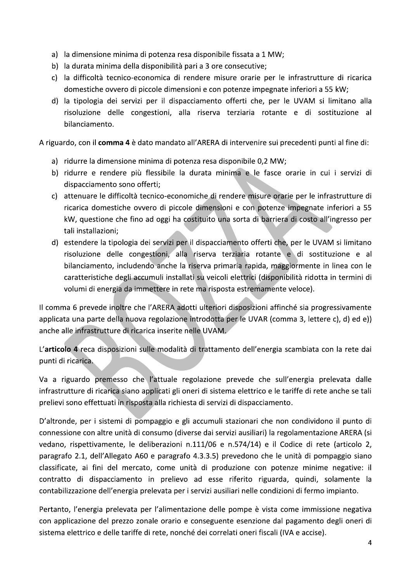- a) la dimensione minima di potenza resa disponibile fissata a 1 MW;
- b) la durata minima della disponibilità pari a 3 ore consecutive;
- c) la difficoltà tecnico-economica di rendere misure orarie per le infrastrutture di ricarica domestiche ovvero di piccole dimensioni e con potenze impegnate inferiori a 55 kW;
- d) la tipologia dei servizi per il dispacciamento offerti che, per le UVAM si limitano alla risoluzione delle congestioni, alla riserva terziaria rotante e di sostituzione al bilanciamento.

A riguardo, con il comma 4 è dato mandato all'ARERA di intervenire sui precedenti punti al fine di:

- a) ridurre la dimensione minima di potenza resa disponibile 0,2 MW;
- b) ridurre e rendere più flessibile la durata minima e le fasce orarie in cui i servizi di dispacciamento sono offerti;
- c) attenuare le difficoltà tecnico-economiche di rendere misure orarie per le infrastrutture di ricarica domestiche ovvero di piccole dimensioni e con potenze impegnate inferiori a 55 kW, questione che fino ad oggi ha costituito una sorta di barriera di costo all'ingresso per tali installazioni;
- d) estendere la tipologia dei servizi per il dispacciamento offerti che, per le UVAM si limitano risoluzione delle congestioni, alla riserva terziaria rotante e di sostituzione e al bilanciamento, includendo anche la riserva primaria rapida, maggiormente in linea con le caratteristiche degli accumuli installati su veicoli elettrici (disponibilità ridotta in termini di volumi di energia da immettere in rete ma risposta estremamente veloce).

Il comma 6 prevede inoltre che l'ARERA adotti ulteriori disposizioni affinché sia progressivamente applicata una parte della nuova regolazione introdotta per le UVAR (comma 3, lettere c), d) ed e)) anche alle infrastrutture di ricarica inserite nelle UVAM.

L'articolo 4 reca disposizioni sulle modalità di trattamento dell'energia scambiata con la rete dai punti di ricarica.

Va a riguardo premesso che l'attuale regolazione prevede che sull'energia prelevata dalle infrastrutture di ricarica siano applicati gli oneri di sistema elettrico e le tariffe di rete anche se tali prelievi sono effettuati in risposta alla richiesta di servizi di dispacciamento.

D'altronde, per i sistemi di pompaggio e gli accumuli stazionari che non condividono il punto di connessione con altre unità di consumo (diverse dai servizi ausiliari) la regolamentazione ARERA (si vedano, rispettivamente, le deliberazioni n.111/06 e n.574/14) e il Codice di rete (articolo 2, paragrafo 2.1, dell'Allegato A60 e paragrafo 4.3.3.5) prevedono che le unità di pompaggio siano classificate, ai fini del mercato, come unità di produzione con potenze minime negative: il contratto di dispacciamento in prelievo ad esse riferito riguarda, quindi, solamente la contabilizzazione dell'energia prelevata per i servizi ausiliari nelle condizioni di fermo impianto.

Pertanto, l'energia prelevata per l'alimentazione delle pompe è vista come immissione negativa con applicazione del prezzo zonale orario e conseguente esenzione dal pagamento degli oneri di sistema elettrico e delle tariffe di rete, nonché dei correlati oneri fiscali (IVA e accise).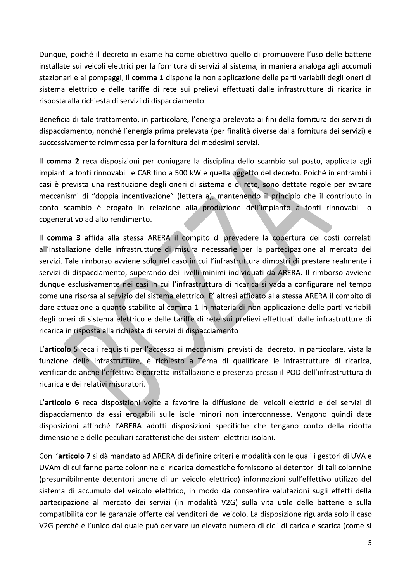Dunque, poiché il decreto in esame ha come obiettivo quello di promuovere l'uso delle batterie installate sui veicoli elettrici per la fornitura di servizi al sistema, in maniera analoga agli accumuli stazionari e ai pompaggi, il comma 1 dispone la non applicazione delle parti variabili degli oneri di sistema elettrico e delle tariffe di rete sui prelievi effettuati dalle infrastrutture di ricarica in risposta alla richiesta di servizi di dispacciamento.

Beneficia di tale trattamento, in particolare, l'energia prelevata ai fini della fornitura dei servizi di dispacciamento, nonché l'energia prima prelevata (per finalità diverse dalla fornitura dei servizi) e successivamente reimmessa per la fornitura dei medesimi servizi.

Il comma 2 reca disposizioni per coniugare la disciplina dello scambio sul posto, applicata agli impianti a fonti rinnovabili e CAR fino a 500 kW e quella oggetto del decreto. Poiché in entrambi i casi è prevista una restituzione degli oneri di sistema e di rete, sono dettate regole per evitare meccanismi di "doppia incentivazione" (lettera a), mantenendo il principio che il contributo in conto scambio è erogato in relazione alla produzione dell'impianto a fonti rinnovabili o cogenerativo ad alto rendimento.

Il comma 3 affida alla stessa ARERA il compito di prevedere la copertura dei costi correlati all'installazione delle infrastrutture di misura necessarie per la partecipazione al mercato dei servizi. Tale rimborso avviene solo nel caso in cui l'infrastruttura dimostri di prestare realmente i servizi di dispacciamento, superando dei livelli minimi individuati da ARERA. Il rimborso avviene dunque esclusivamente nei casi in cui l'infrastruttura di ricarica si vada a configurare nel tempo come una risorsa al servizio del sistema elettrico. E' altresì affidato alla stessa ARERA il compito di dare attuazione a quanto stabilito al comma 1 in materia di non applicazione delle parti variabili degli oneri di sistema elettrico e delle tariffe di rete sui prelievi effettuati dalle infrastrutture di ricarica in risposta alla richiesta di servizi di dispacciamento

L'articolo 5 reca i requisiti per l'accesso ai meccanismi previsti dal decreto. In particolare, vista la funzione delle infrastrutture, è richiesto a Terna di qualificare le infrastrutture di ricarica, verificando anche l'effettiva e corretta installazione e presenza presso il POD dell'infrastruttura di ricarica e dei relativi misuratori.

L'articolo 6 reca disposizioni volte a favorire la diffusione dei veicoli elettrici e dei servizi di dispacciamento da essi erogabili sulle isole minori non interconnesse. Vengono quindi date disposizioni affinché l'ARERA adotti disposizioni specifiche che tengano conto della ridotta dimensione e delle peculiari caratteristiche dei sistemi elettrici isolani.

Con l'articolo 7 si dà mandato ad ARERA di definire criteri e modalità con le quali i gestori di UVA e UVAm di cui fanno parte colonnine di ricarica domestiche forniscono ai detentori di tali colonnine (presumibilmente detentori anche di un veicolo elettrico) informazioni sull'effettivo utilizzo del sistema di accumulo del veicolo elettrico, in modo da consentire valutazioni sugli effetti della partecipazione al mercato dei servizi (in modalità V2G) sulla vita utile delle batterie e sulla compatibilità con le garanzie offerte dai venditori del veicolo. La disposizione riguarda solo il caso V2G perché è l'unico dal quale può derivare un elevato numero di cicli di carica e scarica (come si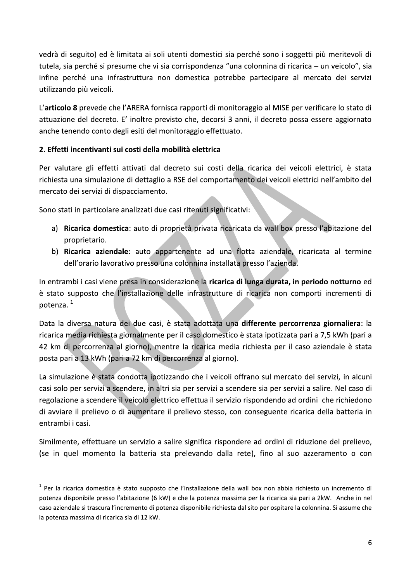vedrà di seguito) ed è limitata ai soli utenti domestici sia perché sono i soggetti più meritevoli di tutela, sia perché si presume che vi sia corrispondenza "una colonnina di ricarica – un veicolo", sia infine perché una infrastruttura non domestica potrebbe partecipare al mercato dei servizi utilizzando più veicoli.

L'articolo 8 prevede che l'ARERA fornisca rapporti di monitoraggio al MISE per verificare lo stato di attuazione del decreto. E' inoltre previsto che, decorsi 3 anni, il decreto possa essere aggiornato anche tenendo conto degli esiti del monitoraggio effettuato.

# 2. Effetti incentivanti sui costi della mobilità elettrica

Per valutare gli effetti attivati dal decreto sui costi della ricarica dei veicoli elettrici, è stata richiesta una simulazione di dettaglio a RSE del comportamento dei veicoli elettrici nell'ambito del mercato dei servizi di dispacciamento.

Sono stati in particolare analizzati due casi ritenuti significativi:

- a) Ricarica domestica: auto di proprietà privata ricaricata da wall box presso l'abitazione del proprietario.
- b) Ricarica aziendale: auto appartenente ad una flotta aziendale, ricaricata al termine dell'orario lavorativo presso una colonnina installata presso l'azienda.

In entrambi i casi viene presa in considerazione la ricarica di lunga durata, in periodo notturno ed è stato supposto che l'installazione delle infrastrutture di ricarica non comporti incrementi di potenza.<sup>1</sup>

Data la diversa natura dei due casi, è stata adottata una differente percorrenza giornaliera: la ricarica media richiesta giornalmente per il caso domestico è stata ipotizzata pari a 7,5 kWh (pari a 42 km di percorrenza al giorno), mentre la ricarica media richiesta per il caso aziendale è stata posta pari a 13 kWh (pari a 72 km di percorrenza al giorno).

La simulazione è stata condotta ipotizzando che i veicoli offrano sul mercato dei servizi, in alcuni casi solo per servizi a scendere, in altri sia per servizi a scendere sia per servizi a salire. Nel caso di regolazione a scendere il veicolo elettrico effettua il servizio rispondendo ad ordini che richiedono di avviare il prelievo o di aumentare il prelievo stesso, con conseguente ricarica della batteria in entrambi i casi.

Similmente, effettuare un servizio a salire significa rispondere ad ordini di riduzione del prelievo, (se in quel momento la batteria sta prelevando dalla rete), fino al suo azzeramento o con

 $1$  Per la ricarica domestica è stato supposto che l'installazione della wall box non abbia richiesto un incremento di potenza disponibile presso l'abitazione (6 kW) e che la potenza massima per la ricarica sia pari a 2kW. Anche in nel caso aziendale si trascura l'incremento di potenza disponibile richiesta dal sito per ospitare la colonnina. Si assume che la potenza massima di ricarica sia di 12 kW.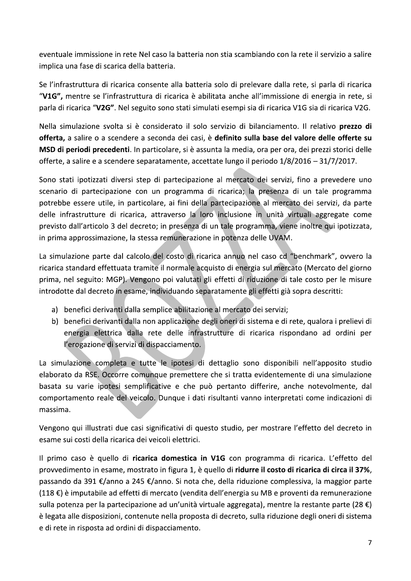eventuale immissione in rete Nel caso la batteria non stia scambiando con la rete il servizio a salire implica una fase di scarica della batteria.

Se l'infrastruttura di ricarica consente alla batteria solo di prelevare dalla rete, si parla di ricarica "V1G", mentre se l'infrastruttura di ricarica è abilitata anche all'immissione di energia in rete, si parla di ricarica "V2G". Nel seguito sono stati simulati esempi sia di ricarica V1G sia di ricarica V2G.

Nella simulazione svolta si è considerato il solo servizio di bilanciamento. Il relativo prezzo di offerta, a salire o a scendere a seconda dei casi, è definito sulla base del valore delle offerte su MSD di periodi precedenti. In particolare, si è assunta la media, ora per ora, dei prezzi storici delle offerte, a salire e a scendere separatamente, accettate lungo il periodo 1/8/2016 - 31/7/2017.

Sono stati ipotizzati diversi step di partecipazione al mercato dei servizi, fino a prevedere uno scenario di partecipazione con un programma di ricarica; la presenza di un tale programma potrebbe essere utile, in particolare, ai fini della partecipazione al mercato dei servizi, da parte delle infrastrutture di ricarica, attraverso la loro inclusione in unità virtuali aggregate come previsto dall'articolo 3 del decreto; in presenza di un tale programma, viene inoltre qui ipotizzata, in prima approssimazione, la stessa remunerazione in potenza delle UVAM.

La simulazione parte dal calcolo del costo di ricarica annuo nel caso cd "benchmark", ovvero la ricarica standard effettuata tramite il normale acquisto di energia sul mercato (Mercato del giorno prima, nel seguito: MGP). Vengono poi valutati gli effetti di riduzione di tale costo per le misure introdotte dal decreto in esame, individuando separatamente gli effetti già sopra descritti:

- a) benefici derivanti dalla semplice abilitazione al mercato dei servizi;
- b) benefici derivanti dalla non applicazione degli oneri di sistema e di rete, qualora i prelievi di energia elettrica dalla rete delle infrastrutture di ricarica rispondano ad ordini per l'erogazione di servizi di dispacciamento.

La simulazione completa e tutte le ipotesi di dettaglio sono disponibili nell'apposito studio elaborato da RSE. Occorre comunque premettere che si tratta evidentemente di una simulazione basata su varie ipotesi semplificative e che può pertanto differire, anche notevolmente, dal comportamento reale del veicolo. Dunque i dati risultanti vanno interpretati come indicazioni di massima.

Vengono qui illustrati due casi significativi di questo studio, per mostrare l'effetto del decreto in esame sui costi della ricarica dei veicoli elettrici.

Il primo caso è quello di ricarica domestica in V1G con programma di ricarica. L'effetto del provvedimento in esame, mostrato in figura 1, è quello di ridurre il costo di ricarica di circa il 37%, passando da 391 €/anno a 245 €/anno. Si nota che, della riduzione complessiva, la maggior parte  $(118 \text{ E})$  è imputabile ad effetti di mercato (vendita dell'energia su MB e proventi da remunerazione sulla potenza per la partecipazione ad un'unità virtuale aggregata), mentre la restante parte (28 €) è legata alle disposizioni, contenute nella proposta di decreto, sulla riduzione degli oneri di sistema e di rete in risposta ad ordini di dispacciamento.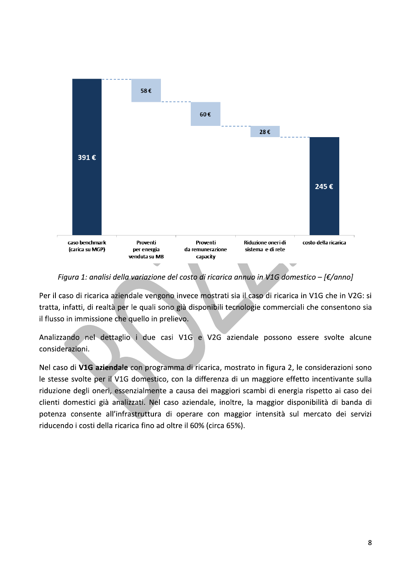

Figura 1: analisi della variazione del costo di ricarica annuo in V1G domestico - [ $\epsilon$ /anno]

Per il caso di ricarica aziendale vengono invece mostrati sia il caso di ricarica in V1G che in V2G: si tratta, infatti, di realtà per le quali sono già disponibili tecnologie commerciali che consentono sia il flusso in immissione che quello in prelievo.

Analizzando nel dettaglio i due casi V1G e V2G aziendale possono essere svolte alcune considerazioni.

Nel caso di V1G aziendale con programma di ricarica, mostrato in figura 2, le considerazioni sono le stesse svolte per il V1G domestico, con la differenza di un maggiore effetto incentivante sulla riduzione degli oneri, essenzialmente a causa dei maggiori scambi di energia rispetto ai caso dei clienti domestici già analizzati. Nel caso aziendale, inoltre, la maggior disponibilità di banda di potenza consente all'infrastruttura di operare con maggior intensità sul mercato dei servizi riducendo i costi della ricarica fino ad oltre il 60% (circa 65%).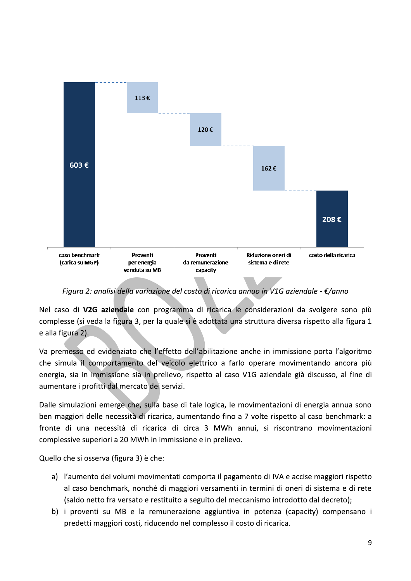

Figura 2: analisi della variazione del costo di ricarica annuo in V1G aziendale -  $\epsilon$ /anno

Nel caso di V2G aziendale con programma di ricarica le considerazioni da svolgere sono più complesse (si veda la figura 3, per la quale si è adottata una struttura diversa rispetto alla figura 1 e alla figura 2).

Va premesso ed evidenziato che l'effetto dell'abilitazione anche in immissione porta l'algoritmo che simula il comportamento del veicolo elettrico a farlo operare movimentando ancora più energia, sia in immissione sia in prelievo, rispetto al caso V1G aziendale già discusso, al fine di aumentare i profitti dal mercato dei servizi.

Dalle simulazioni emerge che, sulla base di tale logica, le movimentazioni di energia annua sono ben maggiori delle necessità di ricarica, aumentando fino a 7 volte rispetto al caso benchmark: a fronte di una necessità di ricarica di circa 3 MWh annui, si riscontrano movimentazioni complessive superiori a 20 MWh in immissione e in prelievo.

Quello che si osserva (figura 3) è che:

- a) l'aumento dei volumi movimentati comporta il pagamento di IVA e accise maggiori rispetto al caso benchmark, nonché di maggiori versamenti in termini di oneri di sistema e di rete (saldo netto fra versato e restituito a seguito del meccanismo introdotto dal decreto);
- b) i proventi su MB e la remunerazione aggiuntiva in potenza (capacity) compensano i predetti maggiori costi, riducendo nel complesso il costo di ricarica.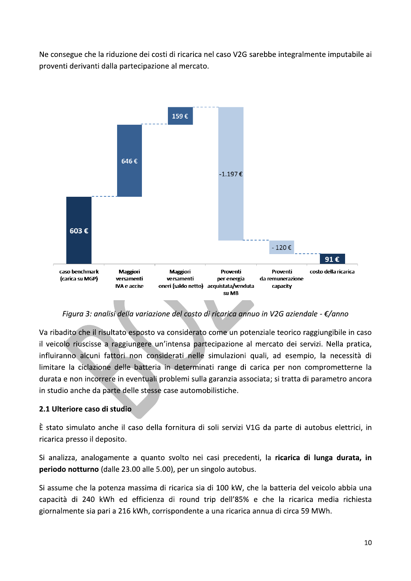Ne consegue che la riduzione dei costi di ricarica nel caso V2G sarebbe integralmente imputabile ai proventi derivanti dalla partecipazione al mercato.



Figura 3: analisi della variazione del costo di ricarica annuo in V2G aziendale - €/anno

Va ribadito che il risultato esposto va considerato come un potenziale teorico raggiungibile in caso il veicolo riuscisse a raggiungere un'intensa partecipazione al mercato dei servizi. Nella pratica, influiranno alcuni fattori non considerati nelle simulazioni quali, ad esempio, la necessità di limitare la ciclazione delle batteria in determinati range di carica per non comprometterne la durata e non incorrere in eventuali problemi sulla garanzia associata; si tratta di parametro ancora in studio anche da parte delle stesse case automobilistiche.

# 2.1 Ulteriore caso di studio

È stato simulato anche il caso della fornitura di soli servizi V1G da parte di autobus elettrici, in ricarica presso il deposito.

Si analizza, analogamente a quanto svolto nei casi precedenti, la ricarica di lunga durata, in periodo notturno (dalle 23.00 alle 5.00), per un singolo autobus.

Si assume che la potenza massima di ricarica sia di 100 kW, che la batteria del veicolo abbia una capacità di 240 kWh ed efficienza di round trip dell'85% e che la ricarica media richiesta giornalmente sia pari a 216 kWh, corrispondente a una ricarica annua di circa 59 MWh.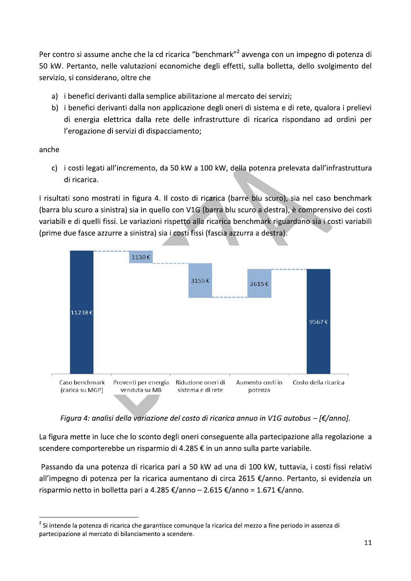Per contro si assume anche che la cd ricarica "benchmark"<sup>2</sup> avvenga con un impegno di potenza di 50 kW. Pertanto, nelle valutazioni economiche degli effetti, sulla bolletta, dello svolgimento del servizio, si considerano, oltre che

- a) i benefici derivanti dalla semplice abilitazione al mercato dei servizi;
- b) i benefici derivanti dalla non applicazione degli oneri di sistema e di rete, qualora i prelievi di energia elettrica dalla rete delle infrastrutture di ricarica rispondano ad ordini per l'erogazione di servizi di dispacciamento;

anche

c) i costi legati all'incremento, da 50 kW a 100 kW, della potenza prelevata dall'infrastruttura di ricarica.

I risultati sono mostrati in figura 4. Il costo di ricarica (barre blu scuro), sia nel caso benchmark (barra blu scuro a sinistra) sia in quello con V1G (barra blu scuro a destra), è comprensivo dei costi variabili e di quelli fissi. Le variazioni rispetto alla ricarica benchmark riguardano sia i costi variabili (prime due fasce azzurre a sinistra) sia i costi fissi (fascia azzurra a destra).



Figura 4: analisi della variazione del costo di ricarica annuo in V1G autobus – [ $\epsilon$ /anno].

La figura mette in luce che lo sconto degli oneri conseguente alla partecipazione alla regolazione a scendere comporterebbe un risparmio di 4.285 € in un anno sulla parte variabile.

Passando da una potenza di ricarica pari a 50 kW ad una di 100 kW, tuttavia, i costi fissi relativi all'impegno di potenza per la ricarica aumentano di circa 2615 €/anno. Pertanto, si evidenzia un risparmio netto in bolletta pari a 4.285 €/anno – 2.615 €/anno = 1.671 €/anno.

<sup>&</sup>lt;sup>2</sup> Si intende la potenza di ricarica che garantisce comunque la ricarica del mezzo a fine periodo in assenza di partecipazione al mercato di bilanciamento a scendere.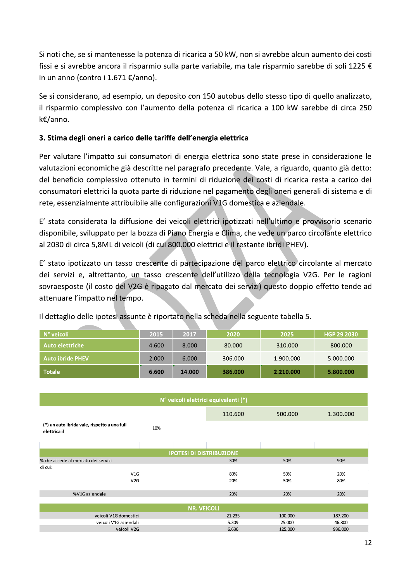Si noti che, se si mantenesse la potenza di ricarica a 50 kW, non si avrebbe alcun aumento dei costi fissi e si avrebbe ancora il risparmio sulla parte variabile, ma tale risparmio sarebbe di soli 1225 € in un anno (contro i 1.671 €/anno).

Se si considerano, ad esempio, un deposito con 150 autobus dello stesso tipo di quello analizzato, il risparmio complessivo con l'aumento della potenza di ricarica a 100 kW sarebbe di circa 250 k€/anno.

# 3. Stima degli oneri a carico delle tariffe dell'energia elettrica

Per valutare l'impatto sui consumatori di energia elettrica sono state prese in considerazione le valutazioni economiche già descritte nel paragrafo precedente. Vale, a riguardo, quanto già detto: del beneficio complessivo ottenuto in termini di riduzione dei costi di ricarica resta a carico dei consumatori elettrici la quota parte di riduzione nel pagamento degli oneri generali di sistema e di rete, essenzialmente attribuibile alle configurazioni V1G domestica e aziendale.

E' stata considerata la diffusione dei veicoli elettrici ipotizzati nell'ultimo e provvisorio scenario disponibile, sviluppato per la bozza di Piano Energia e Clima, che vede un parco circolante elettrico al 2030 di circa 5,8ML di veicoli (di cui 800.000 elettrici e il restante ibridi PHEV).

E' stato ipotizzato un tasso crescente di partecipazione del parco elettrico circolante al mercato dei servizi e, altrettanto, un tasso crescente dell'utilizzo della tecnologia V2G. Per le ragioni sovraesposte (il costo del V2G è ripagato dal mercato dei servizi) questo doppio effetto tende ad attenuare l'impatto nel tempo.

| N° veicoli              | 2015  | 2017   | 2020    | 2025      | ا HGP 29 2030 ا |
|-------------------------|-------|--------|---------|-----------|-----------------|
| Auto elettriche \       | 4.600 | 8.000  | 80.000  | 310.000   | 800.000         |
| <b>Auto ibride PHEV</b> | 2.000 | 6.000  | 306.000 | 1.900.000 | 5.000.000       |
| <b>Totale</b>           | 6.600 | 14.000 | 386.000 | 2.210.000 | 5.800.000       |

Il dettaglio delle ipotesi assunte è riportato nella scheda nella seguente tabella 5.

| N° veicoli elettrici equivalenti (*)                         |     |         |         |           |  |  |  |  |
|--------------------------------------------------------------|-----|---------|---------|-----------|--|--|--|--|
|                                                              |     | 110.600 | 500.000 | 1.300.000 |  |  |  |  |
| (*) un auto ibrida vale, rispetto a una full<br>elettrica il | 10% |         |         |           |  |  |  |  |
|                                                              |     |         |         |           |  |  |  |  |
| <b>IPOTESI DI DISTRIBUZIONE</b>                              |     |         |         |           |  |  |  |  |
| % che accede al mercato dei servizi                          |     | 30%     | 50%     | 90%       |  |  |  |  |
| di cui:                                                      |     |         |         |           |  |  |  |  |
| V1G                                                          |     | 80%     | 50%     | 20%       |  |  |  |  |
| V2G                                                          |     | 20%     | 50%     | 80%       |  |  |  |  |
|                                                              |     |         |         |           |  |  |  |  |
| %V1G aziendale                                               |     | 20%     | 20%     | 20%       |  |  |  |  |
|                                                              |     |         |         |           |  |  |  |  |
| <b>NR. VEICOLI</b>                                           |     |         |         |           |  |  |  |  |
| veicoli V1G domestici                                        |     | 21.235  | 100.000 | 187.200   |  |  |  |  |
| veicoli V1G aziendali                                        |     | 5.309   | 25.000  | 46.800    |  |  |  |  |
| veicoli V2G                                                  |     | 6.636   | 125.000 | 936.000   |  |  |  |  |